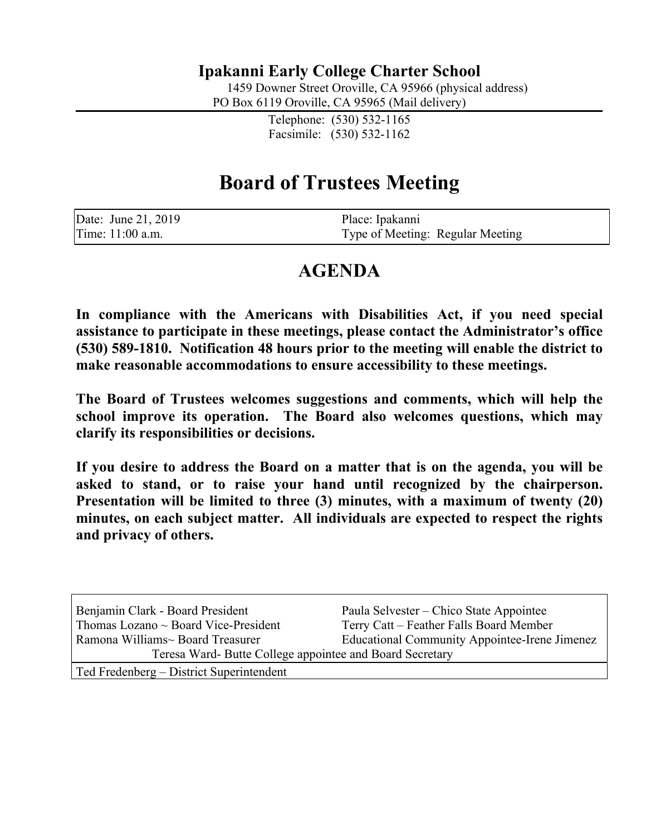#### **Ipakanni Early College Charter School**

1459 Downer Street Oroville, CA 95966 (physical address)

PO Box 6119 Oroville, CA 95965 (Mail delivery)

Telephone: (530) 532-1165 Facsimile: (530) 532-1162

## **Board of Trustees Meeting**

| Date: June 21, 2019 | Place: Ipakanni                  |
|---------------------|----------------------------------|
| Time: 11:00 a.m.    | Type of Meeting: Regular Meeting |

### **AGENDA**

**In compliance with the Americans with Disabilities Act, if you need special assistance to participate in these meetings, please contact the Administrator's office (530) 589-1810. Notification 48 hours prior to the meeting will enable the district to make reasonable accommodations to ensure accessibility to these meetings.**

**The Board of Trustees welcomes suggestions and comments, which will help the school improve its operation. The Board also welcomes questions, which may clarify its responsibilities or decisions.**

**If you desire to address the Board on a matter that is on the agenda, you will be asked to stand, or to raise your hand until recognized by the chairperson. Presentation will be limited to three (3) minutes, with a maximum of twenty (20) minutes, on each subject matter. All individuals are expected to respect the rights and privacy of others.**

| Benjamin Clark - Board President                         | Paula Selvester – Chico State Appointee              |  |
|----------------------------------------------------------|------------------------------------------------------|--|
| Thomas Lozano $\sim$ Board Vice-President                | Terry Catt – Feather Falls Board Member              |  |
| Ramona Williams~ Board Treasurer                         | <b>Educational Community Appointee-Irene Jimenez</b> |  |
| Teresa Ward- Butte College appointee and Board Secretary |                                                      |  |
| Ted Fredenberg – District Superintendent                 |                                                      |  |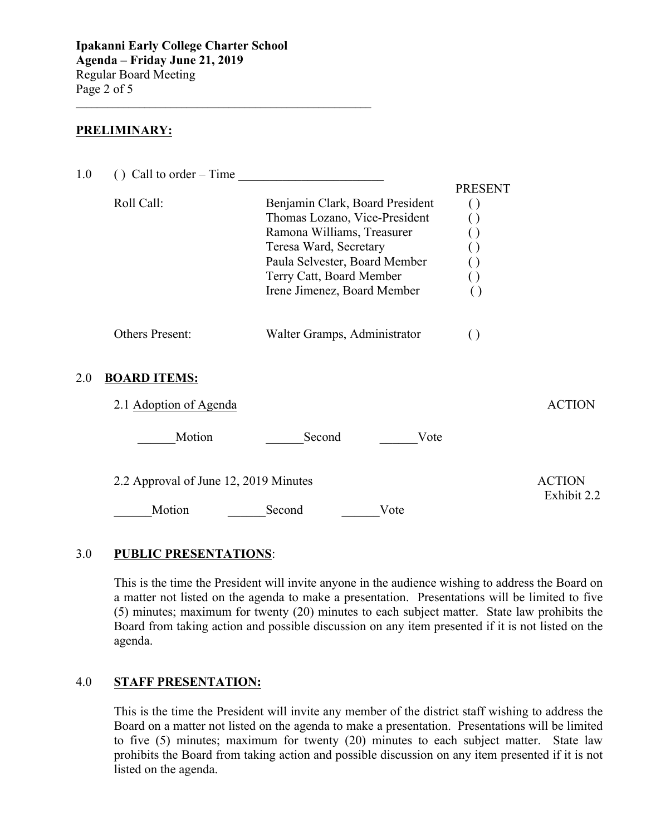$\mathcal{L}_\text{max}$  , and the set of the set of the set of the set of the set of the set of the set of the set of the set of the set of the set of the set of the set of the set of the set of the set of the set of the set of the

#### **PRELIMINARY:**

| 1.0 | $()$ Call to order – Time             |                                                                                                                                                                                                                      |                                                                    |                              |
|-----|---------------------------------------|----------------------------------------------------------------------------------------------------------------------------------------------------------------------------------------------------------------------|--------------------------------------------------------------------|------------------------------|
|     | Roll Call:                            | Benjamin Clark, Board President<br>Thomas Lozano, Vice-President<br>Ramona Williams, Treasurer<br>Teresa Ward, Secretary<br>Paula Selvester, Board Member<br>Terry Catt, Board Member<br>Irene Jimenez, Board Member | <b>PRESENT</b><br>$\left( \ \right)$<br>$\Box$<br>$\left( \right)$ |                              |
|     | Others Present:                       | Walter Gramps, Administrator                                                                                                                                                                                         | $\left( \right)$                                                   |                              |
| 2.0 | <b>BOARD ITEMS:</b>                   |                                                                                                                                                                                                                      |                                                                    |                              |
|     | 2.1 Adoption of Agenda                |                                                                                                                                                                                                                      |                                                                    | <b>ACTION</b>                |
|     | Motion                                | Second<br>Vote                                                                                                                                                                                                       |                                                                    |                              |
|     | 2.2 Approval of June 12, 2019 Minutes |                                                                                                                                                                                                                      |                                                                    | <b>ACTION</b><br>Exhibit 2.2 |
|     | Motion                                | Second<br>Vote                                                                                                                                                                                                       |                                                                    |                              |
|     |                                       |                                                                                                                                                                                                                      |                                                                    |                              |

#### 3.0 **PUBLIC PRESENTATIONS**:

This is the time the President will invite anyone in the audience wishing to address the Board on a matter not listed on the agenda to make a presentation. Presentations will be limited to five (5) minutes; maximum for twenty (20) minutes to each subject matter. State law prohibits the Board from taking action and possible discussion on any item presented if it is not listed on the agenda.

#### 4.0 **STAFF PRESENTATION:**

This is the time the President will invite any member of the district staff wishing to address the Board on a matter not listed on the agenda to make a presentation. Presentations will be limited to five (5) minutes; maximum for twenty (20) minutes to each subject matter. State law prohibits the Board from taking action and possible discussion on any item presented if it is not listed on the agenda.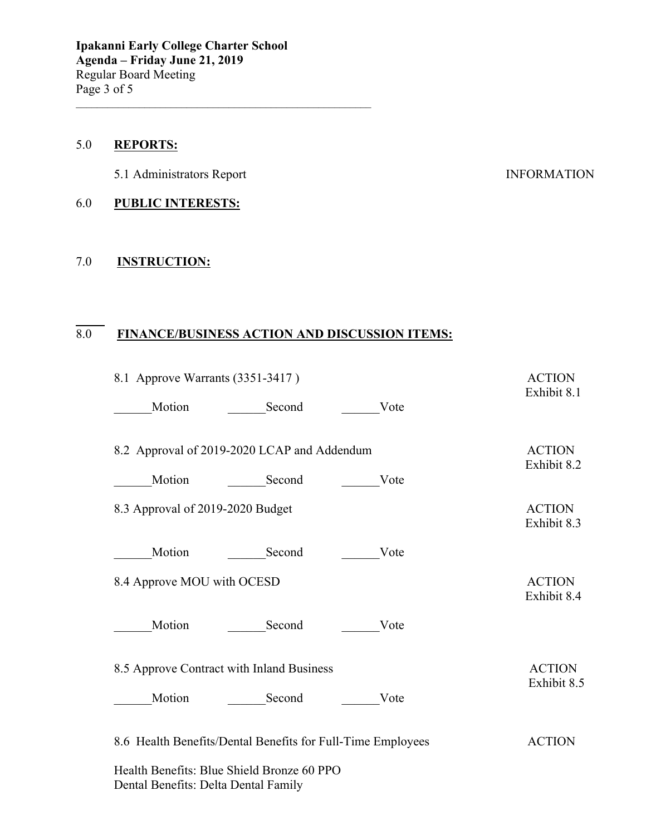#### 5.0 **REPORTS:**

5.1 Administrators Report INFORMATION

#### 6.0 **PUBLIC INTERESTS:**

#### 7.0 **INSTRUCTION:**

#### $\overline{8.0}$ 8.0 **FINANCE/BUSINESS ACTION AND DISCUSSION ITEMS:**

\_\_\_\_\_\_\_\_\_\_\_\_\_\_\_\_\_\_\_\_\_\_\_\_\_\_\_\_\_\_\_\_\_\_\_\_\_\_\_\_\_\_\_\_\_\_\_\_\_\_\_\_\_\_\_\_

| 8.1 Approve Warrants (3351-3417)            |                                                             | <b>ACTION</b><br>Exhibit 8.1 |                              |
|---------------------------------------------|-------------------------------------------------------------|------------------------------|------------------------------|
| Motion                                      | Second                                                      | Vote                         |                              |
| 8.2 Approval of 2019-2020 LCAP and Addendum |                                                             |                              | <b>ACTION</b>                |
| Motion                                      | Second                                                      | Vote                         | Exhibit 8.2                  |
| 8.3 Approval of 2019-2020 Budget            |                                                             |                              | <b>ACTION</b><br>Exhibit 8.3 |
| Motion                                      | Second                                                      | Vote                         |                              |
| 8.4 Approve MOU with OCESD                  |                                                             |                              | <b>ACTION</b><br>Exhibit 8.4 |
| Motion                                      | Second                                                      | Vote                         |                              |
|                                             | 8.5 Approve Contract with Inland Business                   |                              | <b>ACTION</b><br>Exhibit 8.5 |
| Motion                                      | Second                                                      | Vote                         |                              |
|                                             | 8.6 Health Benefits/Dental Benefits for Full-Time Employees |                              | <b>ACTION</b>                |
| Dental Benefits: Delta Dental Family        | Health Benefits: Blue Shield Bronze 60 PPO                  |                              |                              |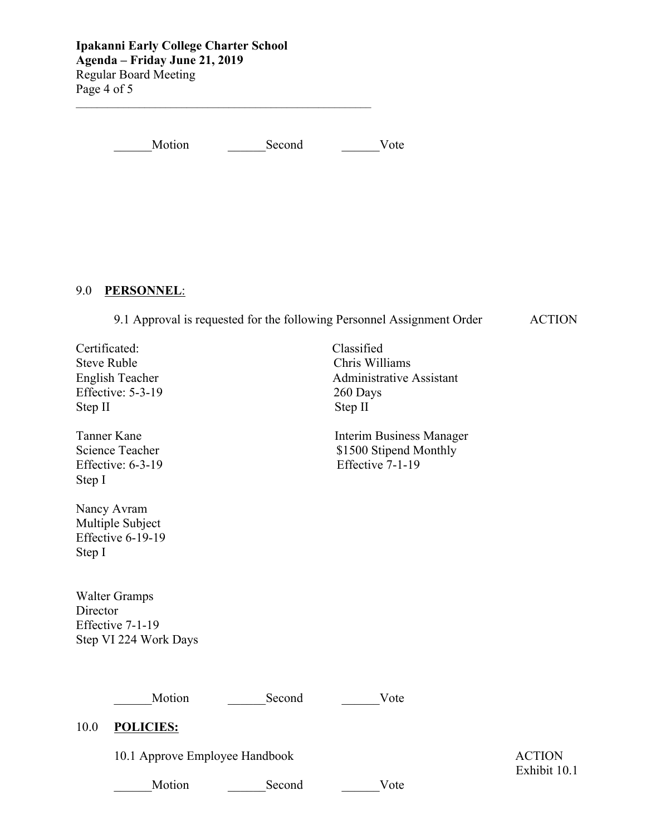**Ipakanni Early College Charter School Agenda – Friday June 21, 2019** Regular Board Meeting Page 4 of 5

Motion Second Vote

 $\mathcal{L}_\text{max}$  , and the set of the set of the set of the set of the set of the set of the set of the set of the set of the set of the set of the set of the set of the set of the set of the set of the set of the set of the

# 9.0 **PERSONNEL**:

9.1 Approval is requested for the following Personnel Assignment Order ACTION

Steve Ruble Chris Williams Effective: 5-3-19 260 Days Step II Step II

Effective:  $6-3-19$ Step I

Nancy Avram Multiple Subject Effective 6-19-19 Step I

 Walter Gramps **Director** Effective 7-1-19 Step VI 224 Work Days

 Certificated: Classified English Teacher Administrative Assistant

Tanner Kane Interim Business Manager Science Teacher \$1500 Stipend Monthly<br>Effective: 6-3-19 Effective 7-1-19

Motion Second Vote

#### 10.0 **POLICIES:**

10.1 Approve Employee Handbook ACTION

Motion Second Vote

Exhibit 10.1